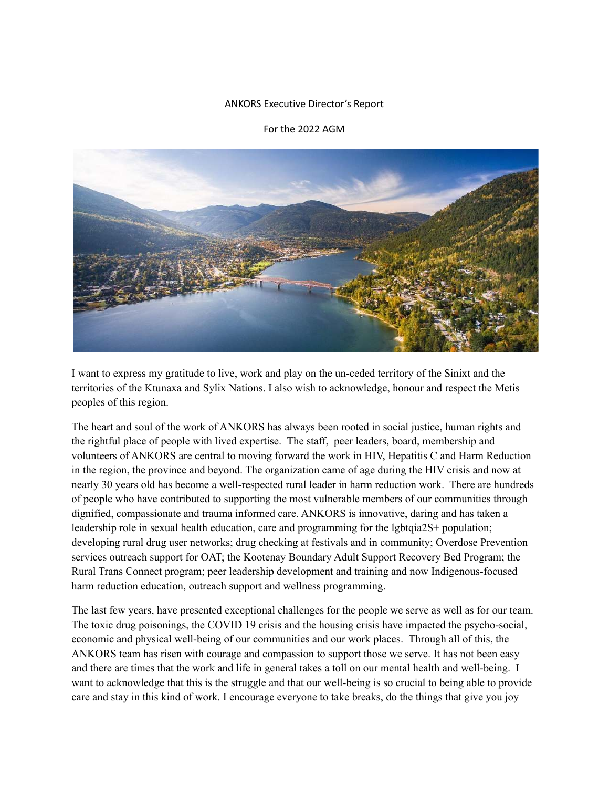## ANKORS Executive Director's Report

## For the 2022 AGM



I want to express my gratitude to live, work and play on the un-ceded territory of the Sinixt and the territories of the Ktunaxa and Sylix Nations. I also wish to acknowledge, honour and respect the Metis peoples of this region.

The heart and soul of the work of ANKORS has always been rooted in social justice, human rights and the rightful place of people with lived expertise. The staff, peer leaders, board, membership and volunteers of ANKORS are central to moving forward the work in HIV, Hepatitis C and Harm Reduction in the region, the province and beyond. The organization came of age during the HIV crisis and now at nearly 30 years old has become a well-respected rural leader in harm reduction work. There are hundreds of people who have contributed to supporting the most vulnerable members of our communities through dignified, compassionate and trauma informed care. ANKORS is innovative, daring and has taken a leadership role in sexual health education, care and programming for the lgbtqia2S+ population; developing rural drug user networks; drug checking at festivals and in community; Overdose Prevention services outreach support for OAT; the Kootenay Boundary Adult Support Recovery Bed Program; the Rural Trans Connect program; peer leadership development and training and now Indigenous-focused harm reduction education, outreach support and wellness programming.

The last few years, have presented exceptional challenges for the people we serve as well as for our team. The toxic drug poisonings, the COVID 19 crisis and the housing crisis have impacted the psycho-social, economic and physical well-being of our communities and our work places. Through all of this, the ANKORS team has risen with courage and compassion to support those we serve. It has not been easy and there are times that the work and life in general takes a toll on our mental health and well-being. I want to acknowledge that this is the struggle and that our well-being is so crucial to being able to provide care and stay in this kind of work. I encourage everyone to take breaks, do the things that give you joy